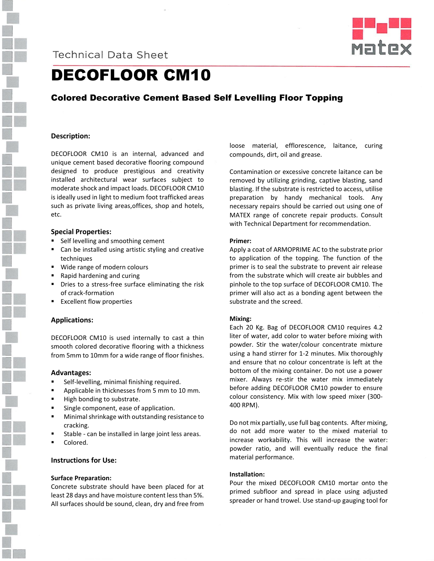

# **Technical Data Sheet**



# DECOFLOOR CM10

# Colored Decorative Cement Based Self Levelling Floor Topping

# **Description:**

DECOFLOOR CM10 is an internal, advanced and unique cement based decorative flooring compound designed to produce prestigious and creativity installed architectural wear surfaces subject to moderate shock and impact loads. DECOFLOOR CM10 is ideally used in light to medium foot trafficked areas such as private living areas,offices, shop and hotels, etc.

# **Special Properties:**

- Self levelling and smoothing cement
- **EXEC** Can be installed using artistic styling and creative techniques
- **Wide range of modern colours**
- Rapid hardening and curing
- Dries to a stress-free surface eliminating the risk of crack-formation
- Excellent flow properties

# **Applications:**

DECOFLOOR CM10 is used internally to cast a thin smooth colored decorative flooring with a thickness from 5mm to 10mm for a wide range of floor finishes.

# **Advantages:**

- Self-levelling, minimal finishing required.
- Applicable in thicknesses from 5 mm to 10 mm.
- High bonding to substrate.
- Single component, ease of application.
- **Minimal shrinkage with outstanding resistance to** cracking.
- Stable can be installed in large joint less areas.
- Colored.

# **Instructions for Use:**

# **Surface Preparation:**

Concrete substrate should have been placed for at least 28 days and have moisture content less than 5%. All surfaces should be sound, clean, dry and free from loose material, efflorescence, laitance, curing compounds, dirt, oil and grease.

Contamination or excessive concrete laitance can be removed by utilizing grinding, captive blasting, sand blasting. If the substrate is restricted to access, utilise preparation by handy mechanical tools. Any necessary repairs should be carried out using one of MATEX range of concrete repair products. Consult with Technical Department for recommendation.

#### **Primer:**

Apply a coat of ARMOPRIME AC to the substrate prior to application of the topping. The function of the primer is to seal the substrate to prevent air release from the substrate which will create air bubbles and pinhole to the top surface of DECOFLOOR CM10. The primer will also act as a bonding agent between the substrate and the screed.

# **Mixing:**

Each 20 Kg. Bag of DECOFLOOR CM10 requires 4.2 liter of water, add color to water before mixing with powder. Stir the water/colour concentrate mixture using a hand stirrer for 1-2 minutes. Mix thoroughly and ensure that no colour concentrate is left at the bottom of the mixing container. Do not use a power mixer. Always re-stir the water mix immediately before adding DECOFLOOR CM10 powder to ensure colour consistency. Mix with low speed mixer (300- 400 RPM).

Do not mix partially, use full bag contents. After mixing, do not add more water to the mixed material to increase workability. This will increase the water: powder ratio, and will eventually reduce the final material performance.

# **Installation:**

Pour the mixed DECOFLOOR CM10 mortar onto the primed subfloor and spread in place using adjusted spreader or hand trowel. Use stand-up gauging tool for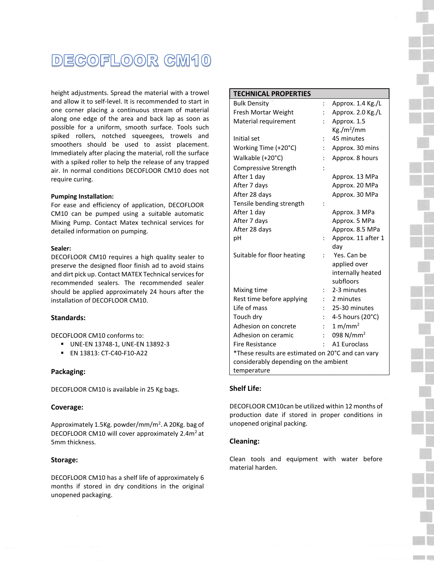# DEGOFLOOR GM10

height adjustments. Spread the material with a trowel and allow it to self-level. It is recommended to start in one corner placing a continuous stream of material along one edge of the area and back lap as soon as possible for a uniform, smooth surface. Tools such spiked rollers, notched squeegees, trowels and smoothers should be used to assist placement. Immediately after placing the material, roll the surface with a spiked roller to help the release of any trapped air. In normal conditions DECOFLOOR CM10 does not require curing.

#### **Pumping Installation:**

For ease and efficiency of application, DECOFLOOR CM10 can be pumped using a suitable automatic Mixing Pump. Contact Matex technical services for detailed information on pumping.

#### **Sealer:**

DECOFLOOR CM10 requires a high quality sealer to preserve the designed floor finish ad to avoid stains and dirt pick up. Contact MATEX Technical services for recommended sealers. The recommended sealer should be applied approximately 24 hours after the installation of DECOFLOOR CM10.

# **Standards:**

DECOFLOOR CM10 conforms to:

- UNE-EN 13748-1, UNE-EN 13892-3
- EN 13813: CT-C40-F10-A22

# **Packaging:**

DECOFLOOR CM10 is available in 25 Kg bags.

#### **Coverage:**

Approximately 1.5Kg. powder/mm/m<sup>2</sup>. A 20Kg. bag of DECOFLOOR CM10 will cover approximately 2.4m<sup>2</sup> at 5mm thickness.

# **Storage:**

 $\widetilde{\mathcal{U}}$ 

DECOFLOOR CM10 has a shelf life of approximately 6 months if stored in dry conditions in the original unopened packaging.

| <b>TECHNICAL PROPERTIES</b>                                                                |                |                          |
|--------------------------------------------------------------------------------------------|----------------|--------------------------|
| <b>Bulk Density</b>                                                                        | $\ddot{\cdot}$ | Approx. 1.4 Kg./L        |
| Fresh Mortar Weight                                                                        |                | Approx. 2.0 Kg./L        |
| Material requirement                                                                       | $\ddot{\cdot}$ | Approx. 1.5              |
|                                                                                            |                | $Kg./m^2/mm$             |
| Initial set                                                                                |                | 45 minutes               |
| Working Time (+20°C)                                                                       |                | Approx. 30 mins          |
| Walkable (+20°C)                                                                           |                | Approx. 8 hours          |
| Compressive Strength                                                                       |                |                          |
| After 1 day                                                                                |                | Approx. 13 MPa           |
| After 7 days                                                                               |                | Approx. 20 MPa           |
| After 28 days                                                                              |                | Approx. 30 MPa           |
| Tensile bending strength                                                                   |                |                          |
| After 1 day                                                                                |                | Approx. 3 MPa            |
| After 7 days                                                                               |                | Approx. 5 MPa            |
| After 28 days                                                                              |                | Approx. 8.5 MPa          |
| рH                                                                                         |                | Approx. 11 after 1       |
|                                                                                            |                | day                      |
| Suitable for floor heating                                                                 |                | Yes. Can be              |
|                                                                                            |                | applied over             |
|                                                                                            |                | internally heated        |
|                                                                                            |                | subfloors<br>2-3 minutes |
| Mixing time<br>Rest time before applying                                                   | $\ddot{\cdot}$ | 2 minutes                |
| Life of mass                                                                               |                | 25-30 minutes            |
| Touch dry                                                                                  |                | 4-5 hours (20°C)         |
| Adhesion on concrete                                                                       |                | 1 m/mm <sup>2</sup>      |
| Adhesion on ceramic                                                                        |                | 098 N/mm <sup>2</sup>    |
| <b>Fire Resistance</b>                                                                     |                | A1 Euroclass             |
|                                                                                            |                |                          |
| *These results are estimated on 20°C and can vary<br>considerably depending on the ambient |                |                          |
| temperature                                                                                |                |                          |
|                                                                                            |                |                          |

# **Shelf Life:**

DECOFLOOR CM10can be utilized within 12 months of production date if stored in proper conditions in unopened original packing.

# **Cleaning:**

Clean tools and equipment with water before material harden.

**MARITIM**